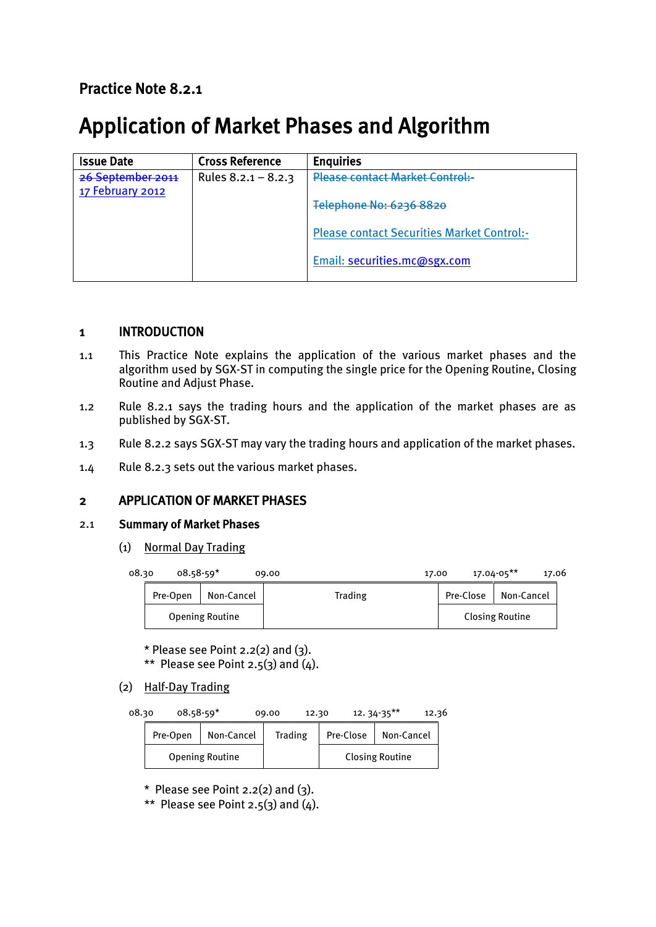# Practice Note 8.2.1

# Application of Market Phases and Algorithm

| <b>Issue Date</b>                     | <b>Cross Reference</b> | <b>Enquiries</b>                                  |
|---------------------------------------|------------------------|---------------------------------------------------|
| 26 September 2011<br>17 February 2012 | Rules $8.2.1 - 8.2.3$  | <b>Please contact Market Control:-</b>            |
|                                       |                        | Telephone No: 6236 8820                           |
|                                       |                        | <b>Please contact Securities Market Control:-</b> |
|                                       |                        | Email: securities.mc@sgx.com                      |

# 1 INTRODUCTION

- 1.1 This Practice Note explains the application of the various market phases and the algorithm used by SGX-ST in computing the single price for the Opening Routine, Closing Routine and Adjust Phase.
- 1.2 Rule 8.2.1 says the trading hours and the application of the market phases are as published by SGX-ST.
- 1.3 Rule 8.2.2 says SGX-ST may vary the trading hours and application of the market phases.
- 1.4 Rule 8.2.3 sets out the various market phases.

# 2 APPLICATION OF MARKET PHASES

#### 2.1 Summary of Market Phases

(1) Normal Day Trading

| 08.30 | $08.58 - 59*$ |                        | 09.00   | 17.00     | $17.04 - 05***$        | 17.06 |
|-------|---------------|------------------------|---------|-----------|------------------------|-------|
|       | Pre-Open      | Non-Cancel             | Trading | Pre-Close | Non-Cancel             |       |
|       |               | <b>Opening Routine</b> |         |           | <b>Closing Routine</b> |       |

 $*$  Please see Point 2.2(2) and (3). \*\* Please see Point 2.5(3) and  $(4)$ .

### (2) Half-Day Trading

08.30 08.58-59\* 09.00 12.30 12. 34-35\*\* 12.36

| Pre-Open | Non-Cancel             | Trading | Pre-Close | Non-Cancel             |
|----------|------------------------|---------|-----------|------------------------|
|          | <b>Opening Routine</b> |         |           | <b>Closing Routine</b> |

 $*$  Please see Point 2.2(2) and (3).

\*\* Please see Point 2.5(3) and  $(4)$ .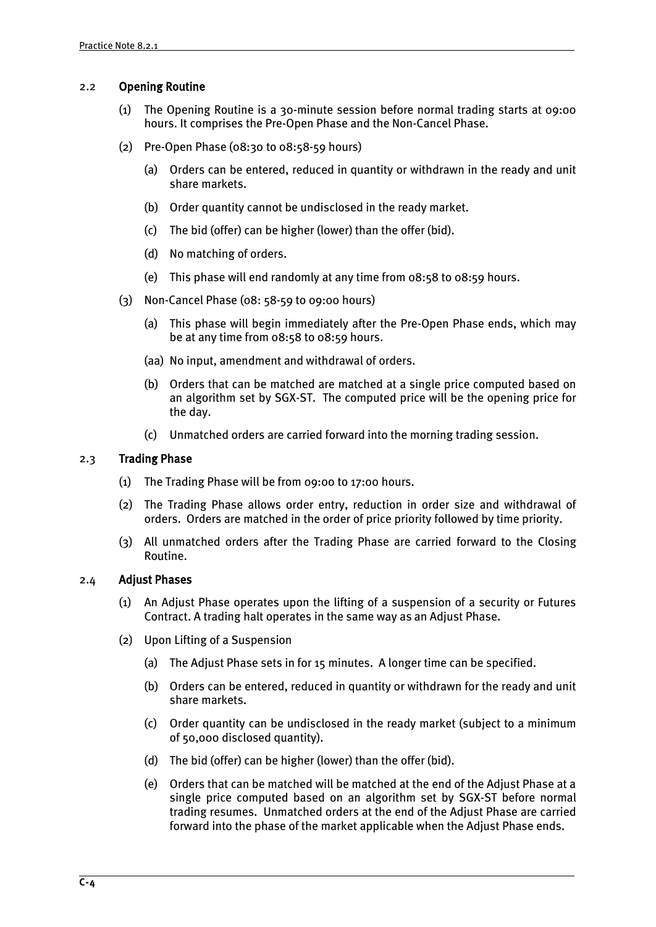#### 2.2 Opening Routine

- (1) The Opening Routine is a 30-minute session before normal trading starts at 09:00 hours. It comprises the Pre-Open Phase and the Non-Cancel Phase.
- (2) Pre-Open Phase (08:30 to 08:58-59 hours)
	- (a) Orders can be entered, reduced in quantity or withdrawn in the ready and unit share markets.
	- (b) Order quantity cannot be undisclosed in the ready market.
	- (c) The bid (offer) can be higher (lower) than the offer (bid).
	- (d) No matching of orders.
	- (e) This phase will end randomly at any time from 08:58 to 08:59 hours.
- (3) Non-Cancel Phase (08: 58-59 to 09:00 hours)
	- (a) This phase will begin immediately after the Pre-Open Phase ends, which may be at any time from 08:58 to 08:59 hours.
	- (aa) No input, amendment and withdrawal of orders.
	- (b) Orders that can be matched are matched at a single price computed based on an algorithm set by SGX-ST. The computed price will be the opening price for the day.
	- (c) Unmatched orders are carried forward into the morning trading session.

#### 2.3 Trading Phase

- (1) The Trading Phase will be from 09:00 to 17:00 hours.
- (2) The Trading Phase allows order entry, reduction in order size and withdrawal of orders. Orders are matched in the order of price priority followed by time priority.
- (3) All unmatched orders after the Trading Phase are carried forward to the Closing Routine.

#### 2.4 Adjust Phases

- (1) An Adjust Phase operates upon the lifting of a suspension of a security or Futures Contract. A trading halt operates in the same way as an Adjust Phase.
- (2) Upon Lifting of a Suspension
	- (a) The Adjust Phase sets in for 15 minutes. A longer time can be specified.
	- (b) Orders can be entered, reduced in quantity or withdrawn for the ready and unit share markets.
	- (c) Order quantity can be undisclosed in the ready market (subject to a minimum of 50,000 disclosed quantity).
	- (d) The bid (offer) can be higher (lower) than the offer (bid).
	- (e) Orders that can be matched will be matched at the end of the Adjust Phase at a single price computed based on an algorithm set by SGX-ST before normal trading resumes. Unmatched orders at the end of the Adjust Phase are carried forward into the phase of the market applicable when the Adjust Phase ends.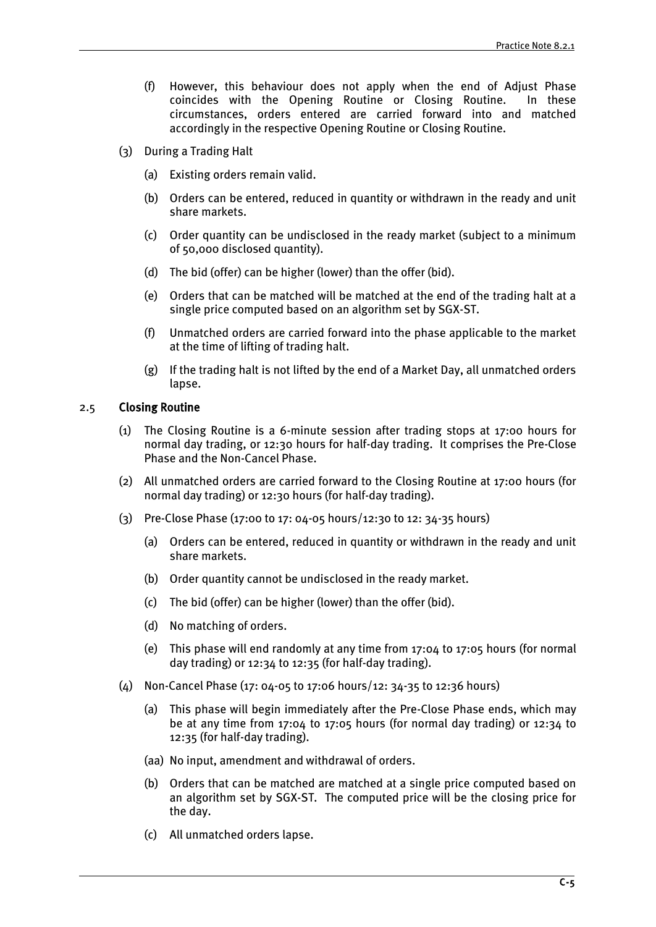- (f) However, this behaviour does not apply when the end of Adjust Phase coincides with the Opening Routine or Closing Routine. In these circumstances, orders entered are carried forward into and matched accordingly in the respective Opening Routine or Closing Routine.
- (3) During a Trading Halt
	- (a) Existing orders remain valid.
	- (b) Orders can be entered, reduced in quantity or withdrawn in the ready and unit share markets.
	- (c) Order quantity can be undisclosed in the ready market (subject to a minimum of 50,000 disclosed quantity).
	- (d) The bid (offer) can be higher (lower) than the offer (bid).
	- (e) Orders that can be matched will be matched at the end of the trading halt at a single price computed based on an algorithm set by SGX-ST.
	- (f) Unmatched orders are carried forward into the phase applicable to the market at the time of lifting of trading halt.
	- (g) If the trading halt is not lifted by the end of a Market Day, all unmatched orders lapse.

#### 2.5 Closing Routine

- (1) The Closing Routine is a 6-minute session after trading stops at 17:00 hours for normal day trading, or 12:30 hours for half-day trading. It comprises the Pre-Close Phase and the Non-Cancel Phase.
- (2) All unmatched orders are carried forward to the Closing Routine at 17:00 hours (for normal day trading) or 12:30 hours (for half-day trading).
- (3) Pre-Close Phase (17:00 to 17: 04-05 hours/12:30 to 12: 34-35 hours)
	- (a) Orders can be entered, reduced in quantity or withdrawn in the ready and unit share markets.
	- (b) Order quantity cannot be undisclosed in the ready market.
	- (c) The bid (offer) can be higher (lower) than the offer (bid).
	- (d) No matching of orders.
	- (e) This phase will end randomly at any time from 17:04 to 17:05 hours (for normal day trading) or 12:34 to 12:35 (for half-day trading).
- (4) Non-Cancel Phase (17: 04-05 to 17:06 hours/12: 34-35 to 12:36 hours)
	- (a) This phase will begin immediately after the Pre-Close Phase ends, which may be at any time from 17:04 to 17:05 hours (for normal day trading) or 12:34 to 12:35 (for half-day trading).
	- (aa) No input, amendment and withdrawal of orders.
	- (b) Orders that can be matched are matched at a single price computed based on an algorithm set by SGX-ST. The computed price will be the closing price for the day.
	- (c) All unmatched orders lapse.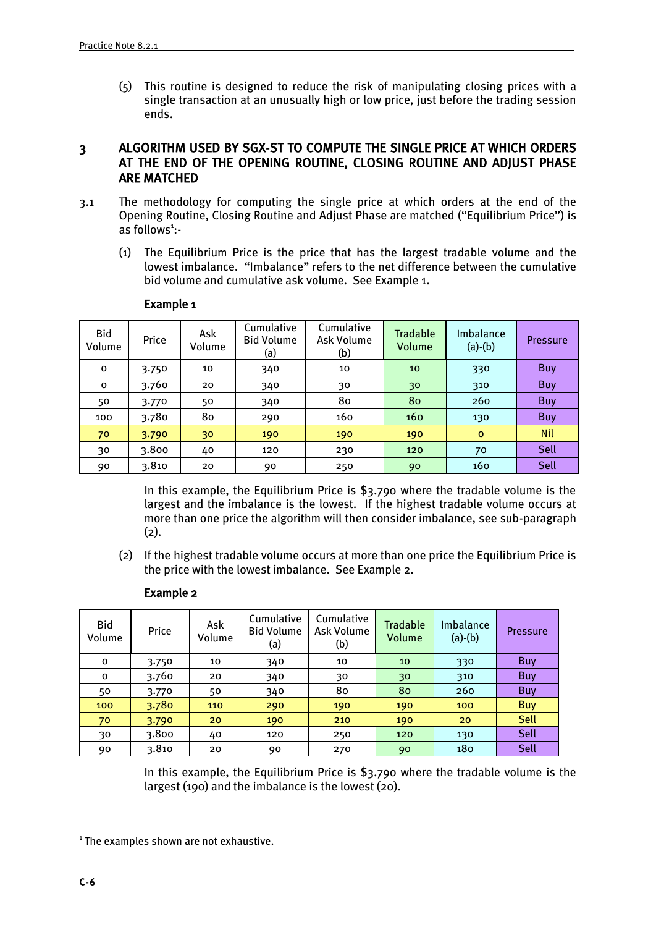(5) This routine is designed to reduce the risk of manipulating closing prices with a single transaction at an unusually high or low price, just before the trading session ends.

# 3 ALGORITHM USED BY SGX-ST TO COMPUTE THE SINGLE PRICE AT WHICH ORDERS AT THE END OF THE OPENING ROUTINE, CLOSING ROUTINE AND ADJUST PHASE ARE MATCHED

- 3.1 The methodology for computing the single price at which orders at the end of the Opening Routine, Closing Routine and Adjust Phase are matched ("Equilibrium Price") is as follows<sup>1</sup>:-
	- (1) The Equilibrium Price is the price that has the largest tradable volume and the lowest imbalance. "Imbalance" refers to the net difference between the cumulative bid volume and cumulative ask volume. See Example 1.

| Bid<br>Volume | Price | Ask<br>Volume | Cumulative<br><b>Bid Volume</b><br>(a) | Cumulative<br>Ask Volume<br>(b) | <b>Tradable</b><br>Volume | Imbalance<br>$(a)-(b)$ | <b>Pressure</b> |
|---------------|-------|---------------|----------------------------------------|---------------------------------|---------------------------|------------------------|-----------------|
| o             | 3.750 | 10            | 340                                    | 10                              | 10                        | 330                    | Buy             |
| $\mathbf{o}$  | 3.760 | 20            | 340                                    | 30                              | 30                        | 310                    | Buy             |
| 50            | 3.770 | 50            | 340                                    | 80                              | 80                        | 260                    | Buy             |
| 100           | 3.780 | 80            | 290                                    | 160                             | 160                       | 130                    | Buy             |
| 70            | 3.790 | 30            | 190                                    | 190                             | 190                       | $\circ$                | <b>Nil</b>      |
| 30            | 3.800 | 40            | 120                                    | 230                             | 120                       | 70                     | Sell            |
| 90            | 3.810 | 20            | 90                                     | 250                             | 90                        | 160                    | Sell            |

#### Example 1

In this example, the Equilibrium Price is \$3.790 where the tradable volume is the largest and the imbalance is the lowest. If the highest tradable volume occurs at more than one price the algorithm will then consider imbalance, see sub-paragraph (2).

(2) If the highest tradable volume occurs at more than one price the Equilibrium Price is the price with the lowest imbalance. See Example 2.

| <b>Bid</b><br>Volume | Price | Ask<br>Volume | Cumulative<br><b>Bid Volume</b><br>(a) | Cumulative<br>Ask Volume<br>(b) | <b>Tradable</b><br>Volume | Imbalance<br>$(a)-(b)$ | <b>Pressure</b> |
|----------------------|-------|---------------|----------------------------------------|---------------------------------|---------------------------|------------------------|-----------------|
| o                    | 3.750 | 10            | 340                                    | 10                              | 10                        | 330                    | <b>Buy</b>      |
| 0                    | 3.760 | 20            | 340                                    | 30                              | 30                        | 310                    | <b>Buy</b>      |
| 50                   | 3.770 | 50            | 340                                    | 80                              | 80                        | 260                    | <b>Buy</b>      |
| 100                  | 3.780 | 110           | 290                                    | 190                             | 190                       | 100                    | <b>Buy</b>      |
| 70                   | 3.790 | 20            | 190                                    | 210                             | 190                       | 20                     | Sell            |
| 30                   | 3.800 | 40            | 120                                    | 250                             | 120                       | 130                    | Sell            |
| 90                   | 3.810 | 20            | 90                                     | 270                             | 90                        | 180                    | Sell            |

#### Example 2

In this example, the Equilibrium Price is \$3.790 where the tradable volume is the largest (190) and the imbalance is the lowest (20).

<u>.</u>

<sup>&</sup>lt;sup>1</sup> The examples shown are not exhaustive.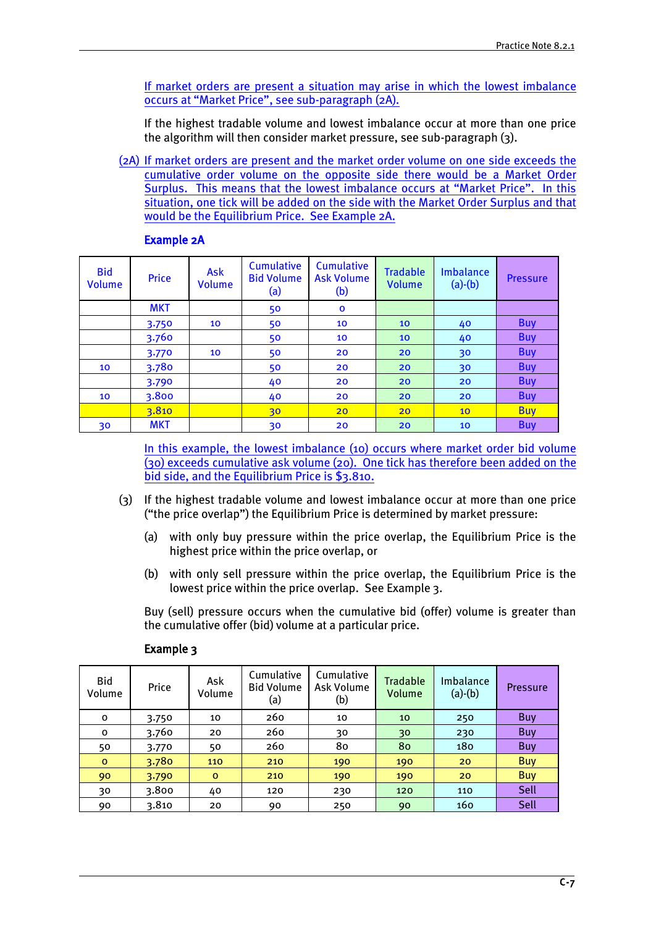If market orders are present a situation may arise in which the lowest imbalance occurs at "Market Price", see sub-paragraph (2A).

If the highest tradable volume and lowest imbalance occur at more than one price the algorithm will then consider market pressure, see sub-paragraph (3).

(2A) If market orders are present and the market order volume on one side exceeds the cumulative order volume on the opposite side there would be a Market Order Surplus. This means that the lowest imbalance occurs at "Market Price". In this situation, one tick will be added on the side with the Market Order Surplus and that would be the Equilibrium Price. See Example 2A.

| <b>Bid</b><br>Volume | <b>Price</b> | <b>Ask</b><br><b>Volume</b> | <b>Cumulative</b><br><b>Bid Volume</b><br>(a) | <b>Cumulative</b><br><b>Ask Volume</b><br>(b) | <b>Tradable</b><br><b>Volume</b> | Imbalance<br>$(a)-(b)$ | <b>Pressure</b> |
|----------------------|--------------|-----------------------------|-----------------------------------------------|-----------------------------------------------|----------------------------------|------------------------|-----------------|
|                      | <b>MKT</b>   |                             | 50                                            | $\mathbf{o}$                                  |                                  |                        |                 |
|                      | 3.750        | 10                          | 50                                            | 10                                            | 10                               | 40                     | <b>Buy</b>      |
|                      | 3.760        |                             | 50                                            | 10                                            | 10 <sup>°</sup>                  | 40                     | <b>Buy</b>      |
|                      | 3.770        | 10                          | 50                                            | 20                                            | 20                               | 30                     | <b>Buy</b>      |
| 10                   | 3.780        |                             | 50                                            | 20                                            | 20                               | 30                     | <b>Buy</b>      |
|                      | 3.790        |                             | 40                                            | 20                                            | 20                               | 20                     | <b>Buy</b>      |
| 10                   | 3.800        |                             | 40                                            | 20                                            | 20                               | 20                     | <b>Buy</b>      |
|                      | 3.810        |                             | 30                                            | 20                                            | 20                               | 10                     | <b>Buy</b>      |
| 30                   | <b>MKT</b>   |                             | 30                                            | 20                                            | 20                               | 10                     | <b>Buy</b>      |

#### Example 2A

In this example, the lowest imbalance (10) occurs where market order bid volume (30) exceeds cumulative ask volume (20). One tick has therefore been added on the bid side, and the Equilibrium Price is \$3.810.

- (3) If the highest tradable volume and lowest imbalance occur at more than one price ("the price overlap") the Equilibrium Price is determined by market pressure:
	- (a) with only buy pressure within the price overlap, the Equilibrium Price is the highest price within the price overlap, or
	- (b) with only sell pressure within the price overlap, the Equilibrium Price is the lowest price within the price overlap. See Example 3.

Buy (sell) pressure occurs when the cumulative bid (offer) volume is greater than the cumulative offer (bid) volume at a particular price.

| Bid<br>Volume | Price | Ask<br>Volume | Cumulative<br><b>Bid Volume</b><br>(a) | Cumulative<br>Ask Volume<br>(b) | <b>Tradable</b><br>Volume | Imbalance<br>$(a)-(b)$ | <b>Pressure</b> |
|---------------|-------|---------------|----------------------------------------|---------------------------------|---------------------------|------------------------|-----------------|
| O             | 3.750 | 10            | 260                                    | 10                              | 10                        | 250                    | Buy             |
| o             | 3.760 | 20            | 260                                    | 30                              | 30                        | 230                    | <b>Buy</b>      |
| 50            | 3.770 | 50            | 260                                    | 80                              | 80                        | 180                    | <b>Buy</b>      |
| $\mathbf{o}$  | 3.780 | 110           | 210                                    | 190                             | 190                       | 20                     | <b>Buy</b>      |
| 90            | 3.790 | $\mathbf{o}$  | 210                                    | 190                             | 190                       | 20                     | <b>Buy</b>      |
| 30            | 3.800 | 40            | 120                                    | 230                             | 120                       | 110                    | Sell            |
| 90            | 3.810 | 20            | 90                                     | 250                             | 90                        | 160                    | Sell            |

#### Example 3